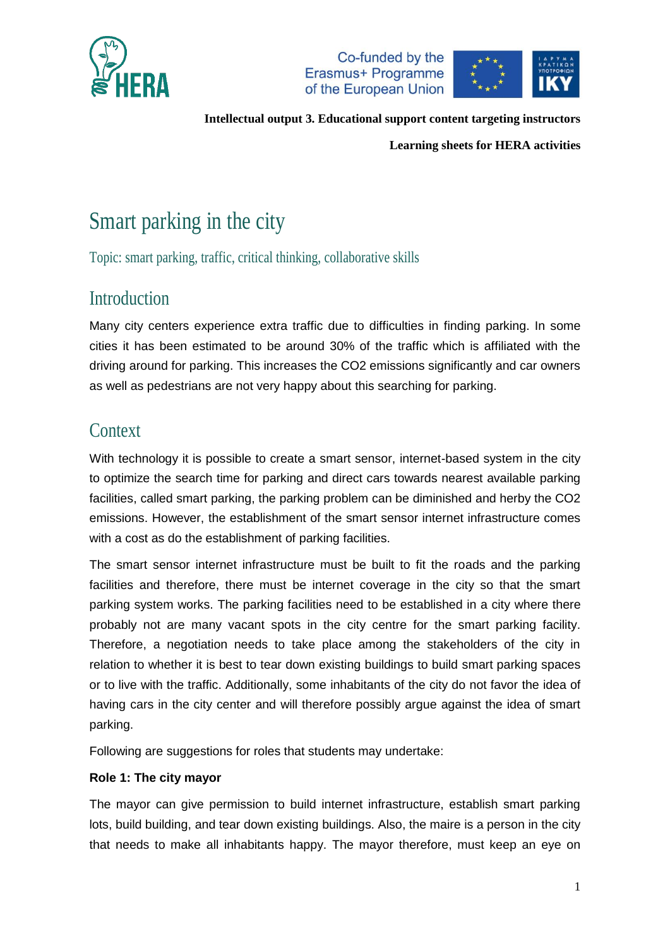



**Learning sheets for HERA activities**

# Smart parking in the city

Topic: smart parking, traffic, critical thinking, collaborative skills

# Introduction

Many city centers experience extra traffic due to difficulties in finding parking. In some cities it has been estimated to be around 30% of the traffic which is affiliated with the driving around for parking. This increases the CO2 emissions significantly and car owners as well as pedestrians are not very happy about this searching for parking.

# **Context**

With technology it is possible to create a smart sensor, internet-based system in the city to optimize the search time for parking and direct cars towards nearest available parking facilities, called smart parking, the parking problem can be diminished and herby the CO2 emissions. However, the establishment of the smart sensor internet infrastructure comes with a cost as do the establishment of parking facilities.

The smart sensor internet infrastructure must be built to fit the roads and the parking facilities and therefore, there must be internet coverage in the city so that the smart parking system works. The parking facilities need to be established in a city where there probably not are many vacant spots in the city centre for the smart parking facility. Therefore, a negotiation needs to take place among the stakeholders of the city in relation to whether it is best to tear down existing buildings to build smart parking spaces or to live with the traffic. Additionally, some inhabitants of the city do not favor the idea of having cars in the city center and will therefore possibly argue against the idea of smart parking.

Following are suggestions for roles that students may undertake:

#### **Role 1: The city mayor**

The mayor can give permission to build internet infrastructure, establish smart parking lots, build building, and tear down existing buildings. Also, the maire is a person in the city that needs to make all inhabitants happy. The mayor therefore, must keep an eye on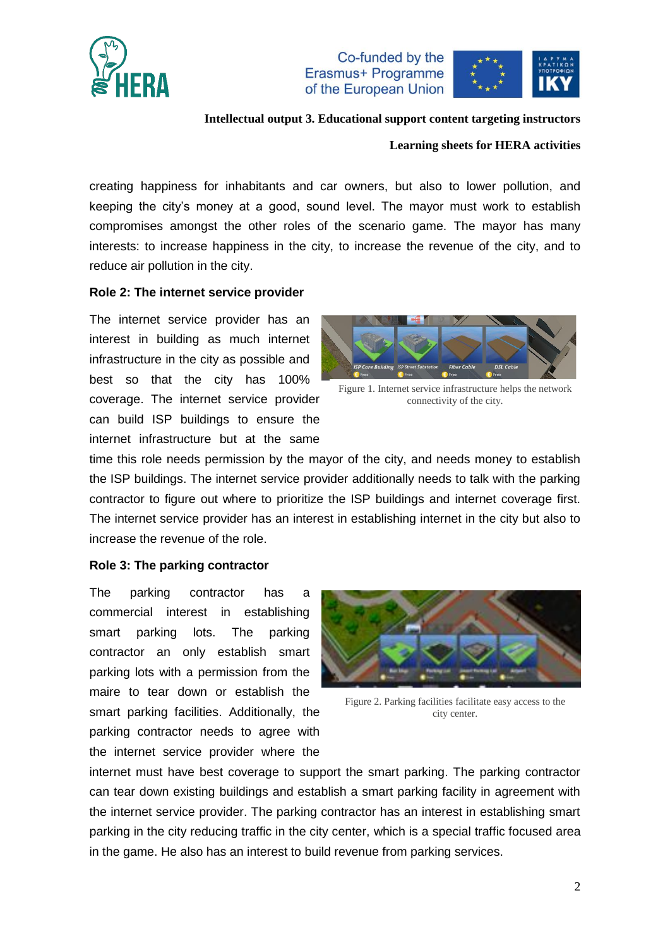

Co-funded by the Erasmus+ Programme of the European Union



#### **Intellectual output 3. Educational support content targeting instructors**

#### **Learning sheets for HERA activities**

creating happiness for inhabitants and car owners, but also to lower pollution, and keeping the city's money at a good, sound level. The mayor must work to establish compromises amongst the other roles of the scenario game. The mayor has many interests: to increase happiness in the city, to increase the revenue of the city, and to reduce air pollution in the city.

#### **Role 2: The internet service provider**

The internet service provider has an interest in building as much internet infrastructure in the city as possible and best so that the city has 100% coverage. The internet service provider can build ISP buildings to ensure the internet infrastructure but at the same



Figure 1. Internet service infrastructure helps the network connectivity of the city.

time this role needs permission by the mayor of the city, and needs money to establish the ISP buildings. The internet service provider additionally needs to talk with the parking contractor to figure out where to prioritize the ISP buildings and internet coverage first. The internet service provider has an interest in establishing internet in the city but also to increase the revenue of the role.

#### **Role 3: The parking contractor**

The parking contractor has a commercial interest in establishing smart parking lots. The parking contractor an only establish smart parking lots with a permission from the maire to tear down or establish the smart parking facilities. Additionally, the parking contractor needs to agree with the internet service provider where the



Figure 2. Parking facilities facilitate easy access to the city center.

internet must have best coverage to support the smart parking. The parking contractor can tear down existing buildings and establish a smart parking facility in agreement with the internet service provider. The parking contractor has an interest in establishing smart parking in the city reducing traffic in the city center, which is a special traffic focused area in the game. He also has an interest to build revenue from parking services.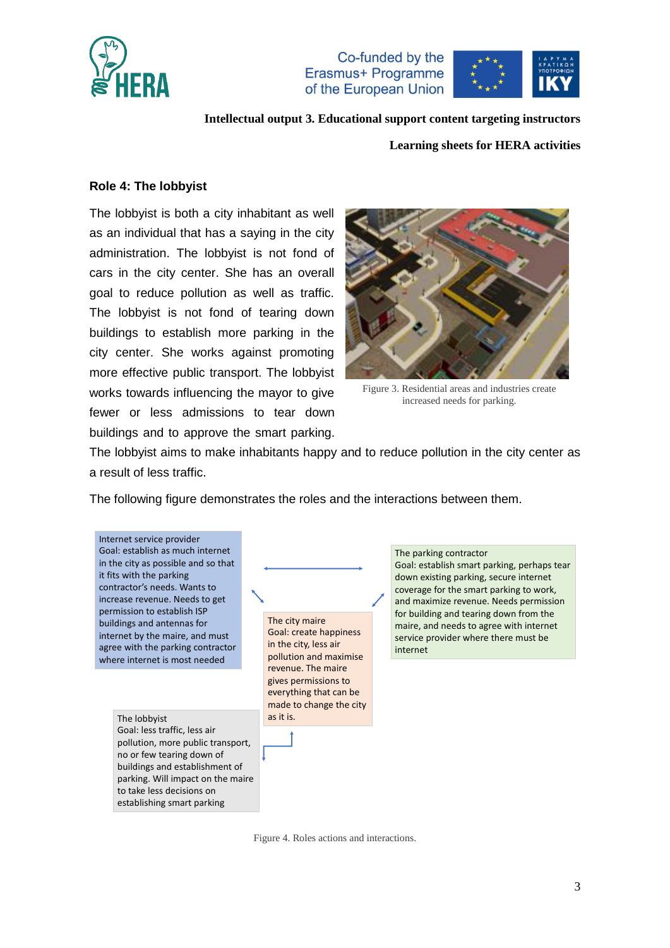

Co-funded by the Erasmus+ Programme of the European Union



**Intellectual output 3. Educational support content targeting instructors**

#### **Learning sheets for HERA activities**

#### **Role 4: The lobbyist**

The lobbyist is both a city inhabitant as well as an individual that has a saying in the city administration. The lobbyist is not fond of cars in the city center. She has an overall goal to reduce pollution as well as traffic. The lobbyist is not fond of tearing down buildings to establish more parking in the city center. She works against promoting more effective public transport. The lobbyist works towards influencing the mayor to give fewer or less admissions to tear down buildings and to approve the smart parking.



Figure 3. Residential areas and industries create increased needs for parking.

The lobbyist aims to make inhabitants happy and to reduce pollution in the city center as a result of less traffic.

The following figure demonstrates the roles and the interactions between them.



Figure 4. Roles actions and interactions.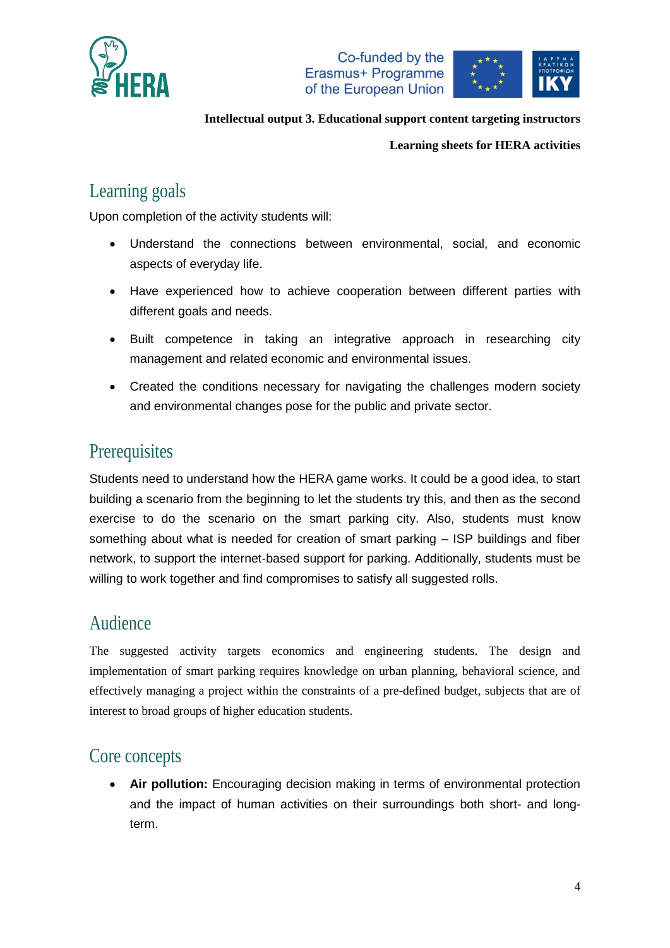





#### **Learning sheets for HERA activities**

# Learning goals

Upon completion of the activity students will:

- Understand the connections between environmental, social, and economic aspects of everyday life.
- Have experienced how to achieve cooperation between different parties with different goals and needs.
- Built competence in taking an integrative approach in researching city management and related economic and environmental issues.
- Created the conditions necessary for navigating the challenges modern society and environmental changes pose for the public and private sector.

## **Prerequisites**

Students need to understand how the HERA game works. It could be a good idea, to start building a scenario from the beginning to let the students try this, and then as the second exercise to do the scenario on the smart parking city. Also, students must know something about what is needed for creation of smart parking – ISP buildings and fiber network, to support the internet-based support for parking. Additionally, students must be willing to work together and find compromises to satisfy all suggested rolls.

### Audience

The suggested activity targets economics and engineering students. The design and implementation of smart parking requires knowledge on urban planning, behavioral science, and effectively managing a project within the constraints of a pre-defined budget, subjects that are of interest to broad groups of higher education students.

# Core concepts

 **Air pollution:** Encouraging decision making in terms of environmental protection and the impact of human activities on their surroundings both short- and longterm.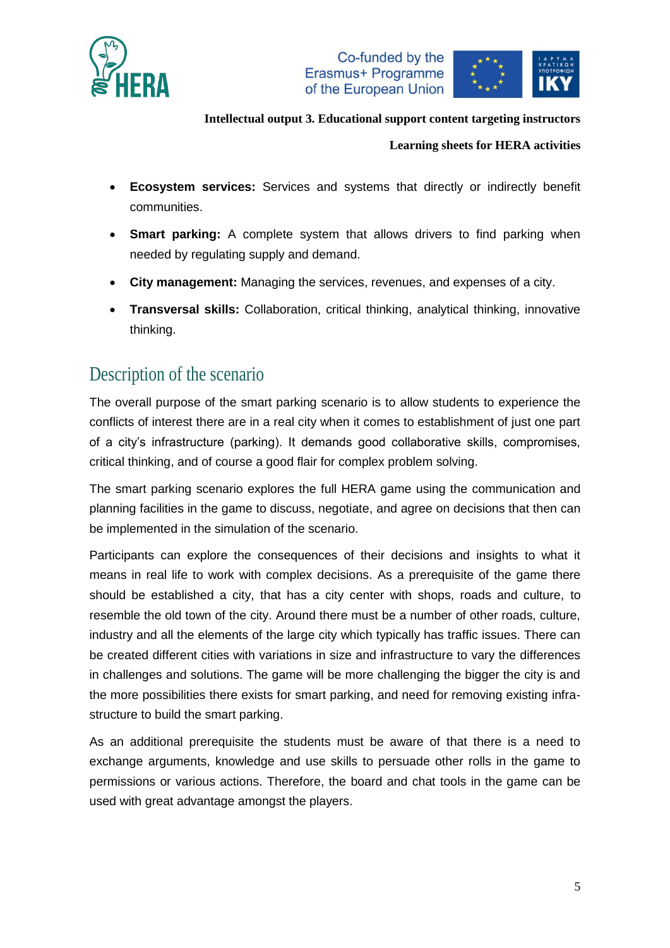





#### **Learning sheets for HERA activities**

- **Ecosystem services:** Services and systems that directly or indirectly benefit communities.
- **Smart parking:** A complete system that allows drivers to find parking when needed by regulating supply and demand.
- **City management:** Managing the services, revenues, and expenses of a city.
- **Transversal skills:** Collaboration, critical thinking, analytical thinking, innovative thinking.

# Description of the scenario

The overall purpose of the smart parking scenario is to allow students to experience the conflicts of interest there are in a real city when it comes to establishment of just one part of a city's infrastructure (parking). It demands good collaborative skills, compromises, critical thinking, and of course a good flair for complex problem solving.

The smart parking scenario explores the full HERA game using the communication and planning facilities in the game to discuss, negotiate, and agree on decisions that then can be implemented in the simulation of the scenario.

Participants can explore the consequences of their decisions and insights to what it means in real life to work with complex decisions. As a prerequisite of the game there should be established a city, that has a city center with shops, roads and culture, to resemble the old town of the city. Around there must be a number of other roads, culture, industry and all the elements of the large city which typically has traffic issues. There can be created different cities with variations in size and infrastructure to vary the differences in challenges and solutions. The game will be more challenging the bigger the city is and the more possibilities there exists for smart parking, and need for removing existing infrastructure to build the smart parking.

As an additional prerequisite the students must be aware of that there is a need to exchange arguments, knowledge and use skills to persuade other rolls in the game to permissions or various actions. Therefore, the board and chat tools in the game can be used with great advantage amongst the players.